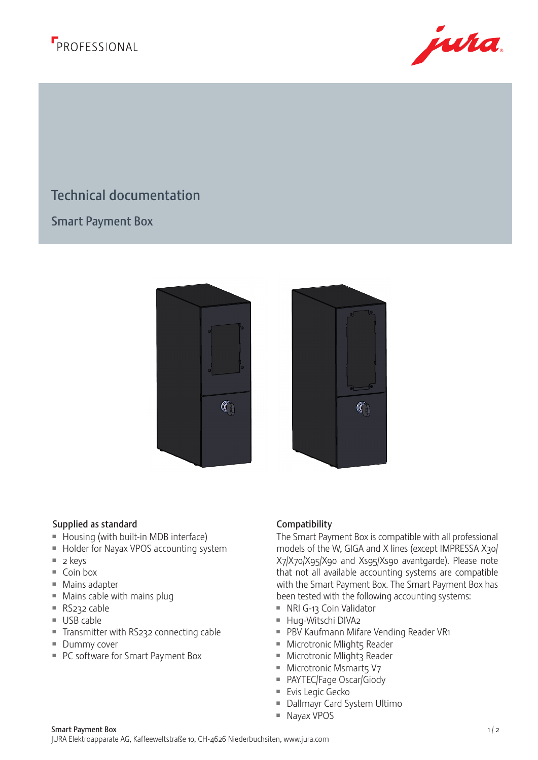



## Technical documentation THIS DRAWING IS THE EXCLUSIVE PROPERTY OF JURA ELECTROPIC PROPERTY OF JURA ELECTROPIC PROPERTY AND RETURN PROPERTY OF A AFTER COMPLETING OF THE CONTRACT. THE DRAWING MUST ONLY BE USED FOR THE PURPOSE FOR WHICH IT IS SUPPLIED. a<br>D  $\frac{1}{2}$ COPYRIGHT - JURA ELEKTROAPPARATE AG ©

Smart Payment Box





## Supplied as standard **Compatibility**

- $\blacksquare$  Housing (with built-in MDB interface)
- **Holder for Nayax VPOS accounting system**
- $\Box$  2 keys
- $\equiv$  Coin box
- $Mains$  adapter
- $M$  Mains cable with mains plug
- $\blacksquare$  RS232 cable
- $\blacksquare$  USB cable
- Transmitter with RS232 connecting cable
- **Dummy cover**
- PC software for Smart Payment Box

The Smart Payment Box is compatible with all professional models of the W, GIGA and X lines (except IMPRESSA X30/ X7/X70/X95/X90 and Xs95/Xs90 avantgarde). Please note that not all available accounting systems are compatible with the Smart Payment Box. The Smart Payment Box has been tested with the following accounting systems:

- RI G-13 Coin Validator
- Hug-Witschi DIVA2
- **PBV Kaufmann Mifare Vending Reader VR1**
- **Microtronic Mlight5 Reader**
- **Microtronic Mlight3 Reader**
- $M$  Microtronic Msmarts V7
- PAYTEC/Fage Oscar/Giody
- Evis Legic Gecko
- Dallmayr Card System Ultimo
- $\blacksquare$  Nayax VPOS